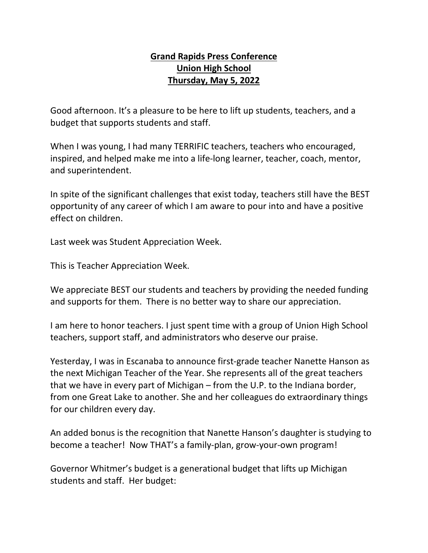## **Grand Rapids Press Conference Union High School Thursday, May 5, 2022**

Good afternoon. It's a pleasure to be here to lift up students, teachers, and a budget that supports students and staff.

When I was young, I had many TERRIFIC teachers, teachers who encouraged, inspired, and helped make me into a life-long learner, teacher, coach, mentor, and superintendent.

In spite of the significant challenges that exist today, teachers still have the BEST opportunity of any career of which I am aware to pour into and have a positive effect on children.

Last week was Student Appreciation Week.

This is Teacher Appreciation Week.

We appreciate BEST our students and teachers by providing the needed funding and supports for them. There is no better way to share our appreciation.

I am here to honor teachers. I just spent time with a group of Union High School teachers, support staff, and administrators who deserve our praise.

Yesterday, I was in Escanaba to announce first-grade teacher Nanette Hanson as the next Michigan Teacher of the Year. She represents all of the great teachers that we have in every part of Michigan – from the U.P. to the Indiana border, from one Great Lake to another. She and her colleagues do extraordinary things for our children every day.

An added bonus is the recognition that Nanette Hanson's daughter is studying to become a teacher! Now THAT's a family-plan, grow-your-own program!

Governor Whitmer's budget is a generational budget that lifts up Michigan students and staff. Her budget: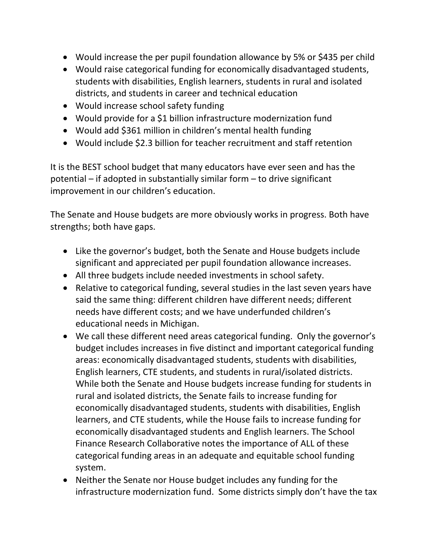- Would increase the per pupil foundation allowance by 5% or \$435 per child
- Would raise categorical funding for economically disadvantaged students, students with disabilities, English learners, students in rural and isolated districts, and students in career and technical education
- Would increase school safety funding
- Would provide for a \$1 billion infrastructure modernization fund
- Would add \$361 million in children's mental health funding
- Would include \$2.3 billion for teacher recruitment and staff retention

It is the BEST school budget that many educators have ever seen and has the potential – if adopted in substantially similar form – to drive significant improvement in our children's education.

The Senate and House budgets are more obviously works in progress. Both have strengths; both have gaps.

- Like the governor's budget, both the Senate and House budgets include significant and appreciated per pupil foundation allowance increases.
- All three budgets include needed investments in school safety.
- Relative to categorical funding, several studies in the last seven years have said the same thing: different children have different needs; different needs have different costs; and we have underfunded children's educational needs in Michigan.
- We call these different need areas categorical funding. Only the governor's budget includes increases in five distinct and important categorical funding areas: economically disadvantaged students, students with disabilities, English learners, CTE students, and students in rural/isolated districts. While both the Senate and House budgets increase funding for students in rural and isolated districts, the Senate fails to increase funding for economically disadvantaged students, students with disabilities, English learners, and CTE students, while the House fails to increase funding for economically disadvantaged students and English learners. The School Finance Research Collaborative notes the importance of ALL of these categorical funding areas in an adequate and equitable school funding system.
- Neither the Senate nor House budget includes any funding for the infrastructure modernization fund. Some districts simply don't have the tax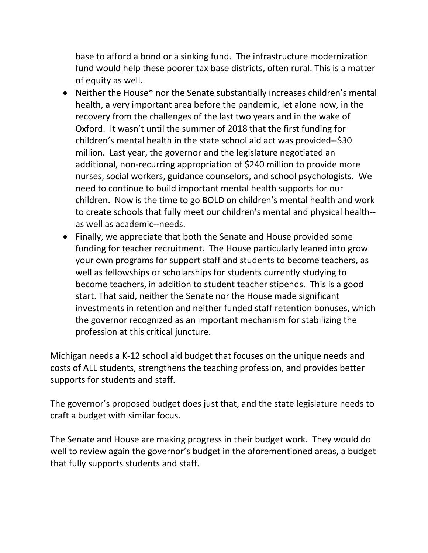base to afford a bond or a sinking fund. The infrastructure modernization fund would help these poorer tax base districts, often rural. This is a matter of equity as well.

- Neither the House\* nor the Senate substantially increases children's mental health, a very important area before the pandemic, let alone now, in the recovery from the challenges of the last two years and in the wake of Oxford. It wasn't until the summer of 2018 that the first funding for children's mental health in the state school aid act was provided--\$30 million. Last year, the governor and the legislature negotiated an additional, non-recurring appropriation of \$240 million to provide more nurses, social workers, guidance counselors, and school psychologists. We need to continue to build important mental health supports for our children. Now is the time to go BOLD on children's mental health and work to create schools that fully meet our children's mental and physical health- as well as academic--needs.
- Finally, we appreciate that both the Senate and House provided some funding for teacher recruitment. The House particularly leaned into grow your own programs for support staff and students to become teachers, as well as fellowships or scholarships for students currently studying to become teachers, in addition to student teacher stipends. This is a good start. That said, neither the Senate nor the House made significant investments in retention and neither funded staff retention bonuses, which the governor recognized as an important mechanism for stabilizing the profession at this critical juncture.

Michigan needs a K-12 school aid budget that focuses on the unique needs and costs of ALL students, strengthens the teaching profession, and provides better supports for students and staff.

The governor's proposed budget does just that, and the state legislature needs to craft a budget with similar focus.

The Senate and House are making progress in their budget work. They would do well to review again the governor's budget in the aforementioned areas, a budget that fully supports students and staff.